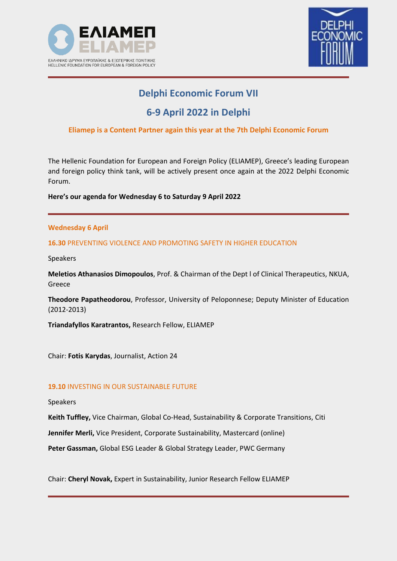



# **Delphi Economic Forum VII**

# **6-9 April 2022 in Delphi**

# **Eliamep is a Content Partner again this year at the 7th Delphi Economic Forum**

The Hellenic Foundation for European and Foreign Policy (ELIAMEP), Greece's leading European and foreign policy think tank, will be actively present once again at the 2022 Delphi Economic Forum.

**Here's our agenda for Wednesday 6 to Saturday 9 April 2022**

### **Wednesday 6 April**

## **16.30** PREVENTING VIOLENCE AND PROMOTING SAFETY IN HIGHER EDUCATION

Speakers

**Meletios Athanasios Dimopoulos**, Prof. & Chairman of the Dept l of Clinical Therapeutics, NKUA, Greece

**Theodore Papatheodorou**, Professor, University of Peloponnese; Deputy Minister of Education (2012-2013)

**Triandafyllos Karatrantos,** Research Fellow, ELIAMEP

Chair: **Fotis Karydas**, Journalist, Action 24

### **19.10** INVESTING IN OUR SUSTAINABLE FUTURE

Speakers

**Keith Tuffley,** Vice Chairman, Global Co-Head, Sustainability & Corporate Transitions, Citi

**Jennifer Merli,** Vice President, Corporate Sustainability, Mastercard (online)

**Peter Gassman,** Global ESG Leader & Global Strategy Leader, PWC Germany

Chair: **Cheryl Novak,** Expert in Sustainability, Junior Research Fellow ELIAMEP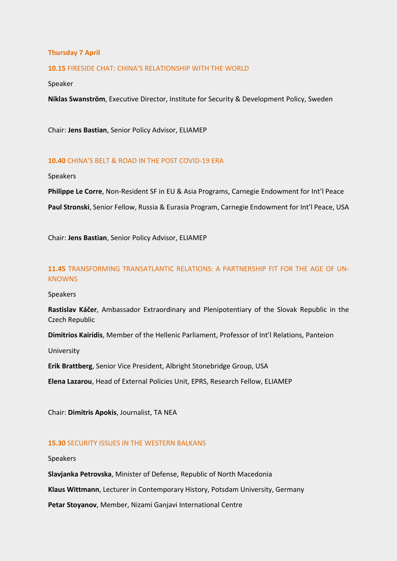### **Thursday 7 April**

**10.15** FIRESIDE CHAT: CHINA'S RELATIONSHIP WITH THE WORLD

Speaker

**Niklas Swanström**, Executive Director, Institute for Security & Development Policy, Sweden

Chair: **Jens Bastian**, Senior Policy Advisor, ELIAMEP

### **10.40** CHINA'S BELT & ROAD IN THE POST COVID-19 ERA

Speakers

**Philippe Le Corre**, Non-Resident SF in EU & Asia Programs, Carnegie Endowment for Int'l Peace

**Paul Stronski**, Senior Fellow, Russia & Eurasia Program, Carnegie Endowment for Int'l Peace, USA

Chair: **Jens Bastian**, Senior Policy Advisor, ELIAMEP

### **11.45** TRANSFORMING TRANSATLANTIC RELATIONS: A PARTNERSHIP FIT FOR THE AGE OF UN-**KNOWNS**

Speakers

**Rastislav Káčer**, Ambassador Extraordinary and Plenipotentiary of the Slovak Republic in the Czech Republic

**Dimitrios Kairidis**, Member of the Hellenic Parliament, Professor of Int'l Relations, Panteion

University

**Erik Brattberg**, Senior Vice President, Albright Stonebridge Group, USA

**Elena Lazarou**, Head of External Policies Unit, EPRS, Research Fellow, ELIAMEP

Chair: **Dimitris Apokis**, Journalist, TA NEA

### **15.30** SECURITY ISSUES IN THE WESTERN BALKANS

Speakers

**Slavjanka Petrovska**, Minister of Defense, Republic of North Macedonia

**Klaus Wittmann**, Lecturer in Contemporary History, Potsdam University, Germany

**Petar Stoyanov**, Member, Nizami Ganjavi International Centre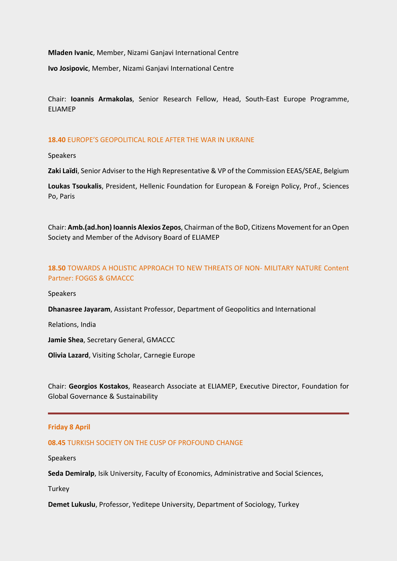**Mladen Ivanic**, Member, Nizami Ganjavi International Centre

**Ivo Josipovic**, Member, Nizami Ganjavi International Centre

Chair: **Ioannis Armakolas**, Senior Research Fellow, Head, South-East Europe Programme, ELIAMEP

### **18.40** EUROPE'S GEOPOLITICAL ROLE AFTER THE WAR IN UKRAINE

Speakers

**Zaki Laïdi**, Senior Adviser to the High Representative & VP of the Commission EEAS/SEAE, Belgium

**Loukas Tsoukalis**, President, Hellenic Foundation for European & Foreign Policy, Prof., Sciences Po, Paris

Chair: **Amb.(ad.hon) Ioannis Alexios Zepos**, Chairman of the BoD, Citizens Movement for anOpen Society and Member of the Advisory Board of ELIAMEP

## **18.50** TOWARDS A HOLISTIC APPROACH TO NEW THREATS OF NON- MILITARY NATURE Content Partner: FOGGS & GMACCC

Speakers

**Dhanasree Jayaram**, Assistant Professor, Department of Geopolitics and International

Relations, India

**Jamie Shea**, Secretary General, GMACCC

**Olivia Lazard**, Visiting Scholar, Carnegie Europe

Chair: **Georgios Kostakos**, Reasearch Associate at ELIAMEP, Executive Director, Foundation for Global Governance & Sustainability

### **Friday 8 April**

### **08.45** TURKISH SOCIETY ON THE CUSP OF PROFOUND CHANGE

Speakers

**Seda Demiralp**, Isik University, Faculty of Economics, Administrative and Social Sciences,

Turkey

**Demet Lukuslu**, Professor, Yeditepe University, Department of Sociology, Turkey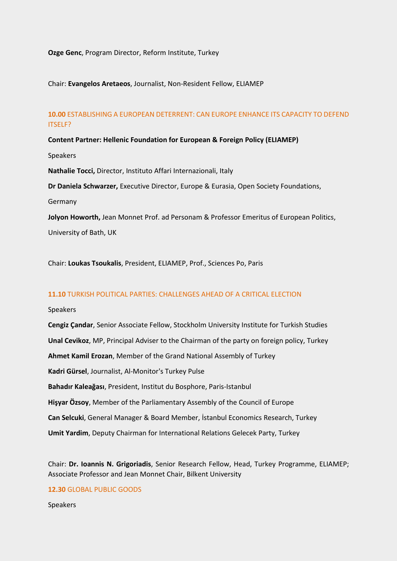### **Ozge Genc**, Program Director, Reform Institute, Turkey

### Chair: **Evangelos Aretaeos**, Journalist, Non-Resident Fellow, ELIAMEP

### **10.00** ESTABLISHING A EUROPEAN DETERRENT: CAN EUROPE ENHANCE ITS CAPACITY TO DEFEND ITSELF?

### **Content Partner: Hellenic Foundation for European & Foreign Policy (ELIAMEP)**

Speakers

**Nathalie Tocci,** Director, Instituto Affari Internazionali, Italy

**Dr Daniela Schwarzer,** Executive Director, Europe & Eurasia, Open Society Foundations,

Germany

**Jolyon Howorth,** Jean Monnet Prof. ad Personam & Professor Emeritus of European Politics, University of Bath, UK

Chair: **Loukas Tsoukalis**, President, ELIAMEP, Prof., Sciences Po, Paris

### **11.10** TURKISH POLITICAL PARTIES: CHALLENGES AHEAD OF A CRITICAL ELECTION

#### Speakers

**Cengiz Çandar**, Senior Associate Fellow, Stockholm University Institute for Turkish Studies **Unal Cevikoz**, MP, Principal Adviser to the Chairman of the party on foreign policy, Turkey **Ahmet Kamil Erozan**, Member of the Grand National Assembly of Turkey **Kadri Gürsel**, Journalist, Al-Monitor's Turkey Pulse **Bahadır Kaleağası**, President, Institut du Bosphore, Paris-Istanbul **Hişyar Özsoy**, Member of the Parliamentary Assembly of the Council of Europe **Can Selcuki**, General Manager & Board Member, İstanbul Economics Research, Turkey **Umit Yardim**, Deputy Chairman for International Relations Gelecek Party, Turkey

Chair: **Dr. Ioannis N. Grigoriadis**, Senior Research Fellow, Head, Turkey Programme, ELIAMEP; Associate Professor and Jean Monnet Chair, Bilkent University

### **12.30** GLOBAL PUBLIC GOODS

Speakers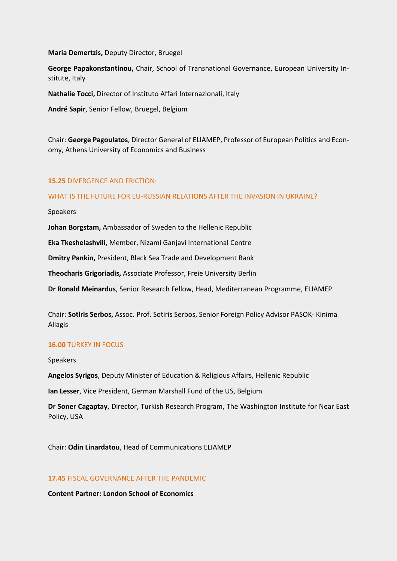**Maria Demertzis,** Deputy Director, Bruegel

**George Papakonstantinou,** Chair, School of Transnational Governance, European University Institute, Italy

**Nathalie Tocci,** Director of Instituto Affari Internazionali, Italy

**André Sapir**, Senior Fellow, Bruegel, Belgium

Chair: **George Pagoulatos**, Director General of ELIAMEP, Professor of European Politics and Economy, Athens University of Economics and Business

### **15.25** DIVERGENCE AND FRICTION:

### WHAT IS THE FUTURE FOR EU-RUSSIAN RELATIONS AFTER THE INVASION IN UKRAINE?

Speakers

**Johan Borgstam,** Ambassador of Sweden to the Hellenic Republic

**Eka Tkeshelashvili,** Member, Nizami Ganjavi International Centre

**Dmitry Pankin,** President, Black Sea Trade and Development Bank

**Theocharis Grigoriadis,** Associate Professor, Freie University Berlin

**Dr Ronald Meinardus**, Senior Research Fellow, Head, Mediterranean Programme, ELIAMEP

Chair: **Sotiris Serbos,** Assoc. Prof. Sotiris Serbos, Senior Foreign Policy Advisor PASOK- Kinima Allagis

### **16.00** TURKEY IN FOCUS

Speakers

**Angelos Syrigos**, Deputy Minister of Education & Religious Affairs, Hellenic Republic

**Ian Lesser**, Vice President, German Marshall Fund of the US, Belgium

**Dr Soner Cagaptay**, Director, Turkish Research Program, The Washington Institute for Near East Policy, USA

Chair: **Odin Linardatou**, Head of Communications ELIAMEP

### **17.45** FISCAL GOVERNANCE AFTER THE PANDEMIC

**Content Partner: London School of Economics**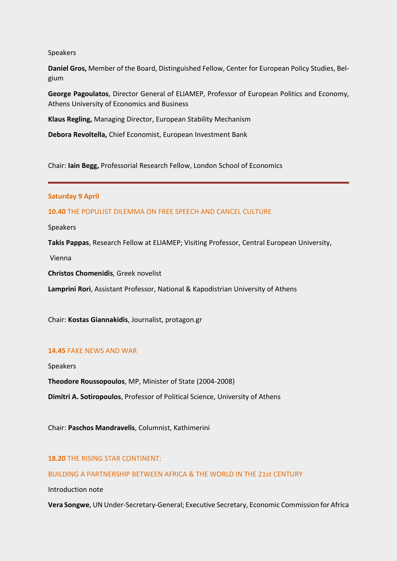Speakers

**Daniel Gros,** Member of the Board, Distinguished Fellow, Center for European Policy Studies, Belgium

**George Pagoulatos**, Director General of ELIAMEP, Professor of European Politics and Economy, Athens University of Economics and Business

**Klaus Regling,** Managing Director, European Stability Mechanism

**Debora Revoltella,** Chief Economist, European Investment Bank

Chair: **Iain Begg,** Professorial Research Fellow, London School of Economics

#### **Saturday 9 April**

**10.40** THE POPULIST DILEMMA ON FREE SPEECH AND CANCEL CULTURE

Speakers

**Takis Pappas**, Research Fellow at ELIAMEP; Visiting Professor, Central European University,

Vienna

**Christos Chomenidis**, Greek novelist

**Lamprini Rori**, Assistant Professor, National & Kapodistrian University of Athens

Chair: **Kostas Giannakidis**, Journalist, protagon.gr

#### **14.45** FAKE NEWS AND WAR

Speakers **Theodore Roussopoulos**, MP, Minister of State (2004-2008) **Dimitri A. Sotiropoulos**, Professor of Political Science, University of Athens

Chair: **Paschos Mandravelis**, Columnist, Kathimerini

### **18.20** THE RISING STAR CONTINENT:

### BUILDING A PARTNERSHIP BETWEEN AFRICA & THE WORLD IN THE 21st CENTURY

Introduction note

**Vera Songwe**, UN Under-Secretary-General; Executive Secretary, Economic Commission for Africa